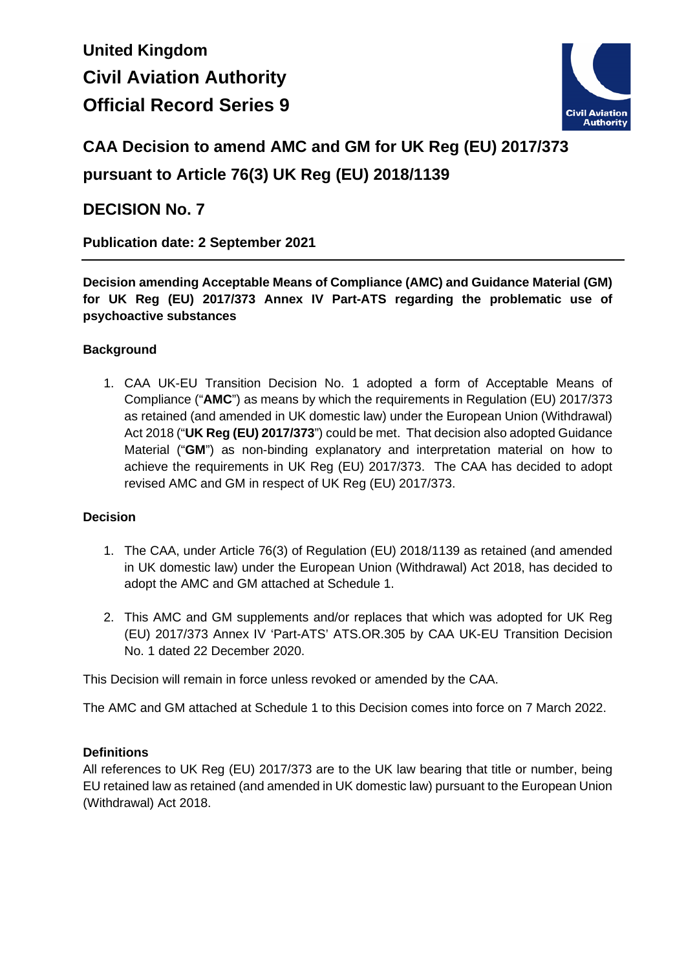# **United Kingdom Civil Aviation Authority Official Record Series 9**



# **CAA Decision to amend AMC and GM for UK Reg (EU) 2017/373 pursuant to Article 76(3) UK Reg (EU) 2018/1139**

# **DECISION No. 7**

**Publication date: 2 September 2021**

**Decision amending Acceptable Means of Compliance (AMC) and Guidance Material (GM) for UK Reg (EU) 2017/373 Annex IV Part-ATS regarding the problematic use of psychoactive substances**

# **Background**

1. CAA UK-EU Transition Decision No. 1 adopted a form of Acceptable Means of Compliance ("**AMC**") as means by which the requirements in Regulation (EU) 2017/373 as retained (and amended in UK domestic law) under the European Union (Withdrawal) Act 2018 ("**UK Reg (EU) 2017/373**") could be met. That decision also adopted Guidance Material ("**GM**") as non-binding explanatory and interpretation material on how to achieve the requirements in UK Reg (EU) 2017/373. The CAA has decided to adopt revised AMC and GM in respect of UK Reg (EU) 2017/373.

# **Decision**

- 1. The CAA, under Article 76(3) of Regulation (EU) 2018/1139 as retained (and amended in UK domestic law) under the European Union (Withdrawal) Act 2018, has decided to adopt the AMC and GM attached at Schedule 1.
- 2. This AMC and GM supplements and/or replaces that which was adopted for UK Reg (EU) 2017/373 Annex IV 'Part-ATS' ATS.OR.305 by CAA UK-EU Transition Decision No. 1 dated 22 December 2020.

This Decision will remain in force unless revoked or amended by the CAA.

The AMC and GM attached at Schedule 1 to this Decision comes into force on 7 March 2022.

# **Definitions**

All references to UK Reg (EU) 2017/373 are to the UK law bearing that title or number, being EU retained law as retained (and amended in UK domestic law) pursuant to the European Union (Withdrawal) Act 2018.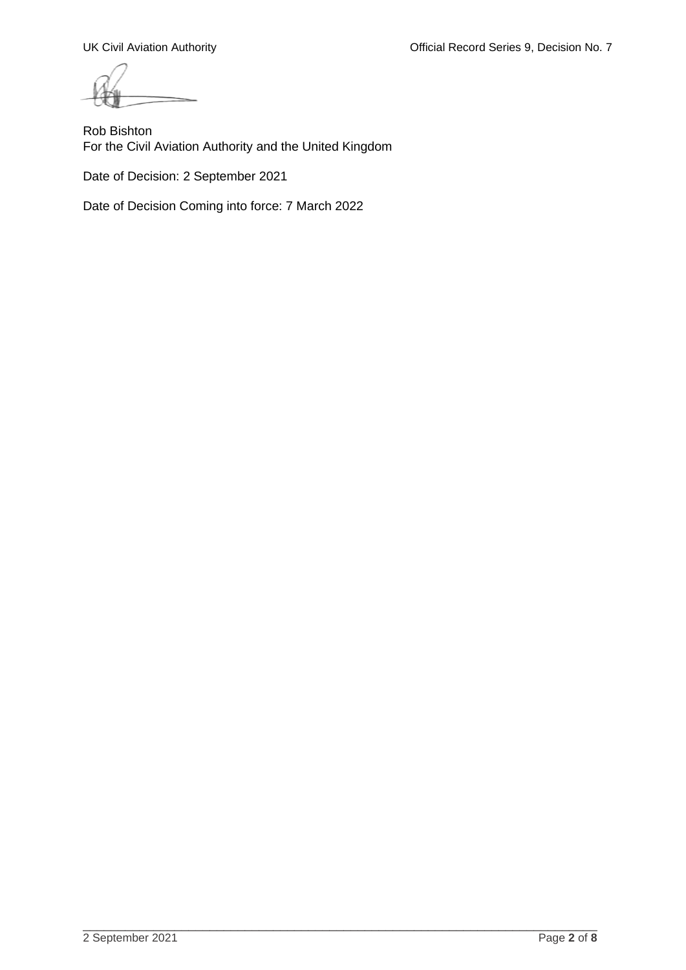UK Civil Aviation Authority **Official Record Series 9, Decision No. 7** Civil Aviation Authority

Rob Bishton For the Civil Aviation Authority and the United Kingdom

Date of Decision: 2 September 2021

Date of Decision Coming into force: 7 March 2022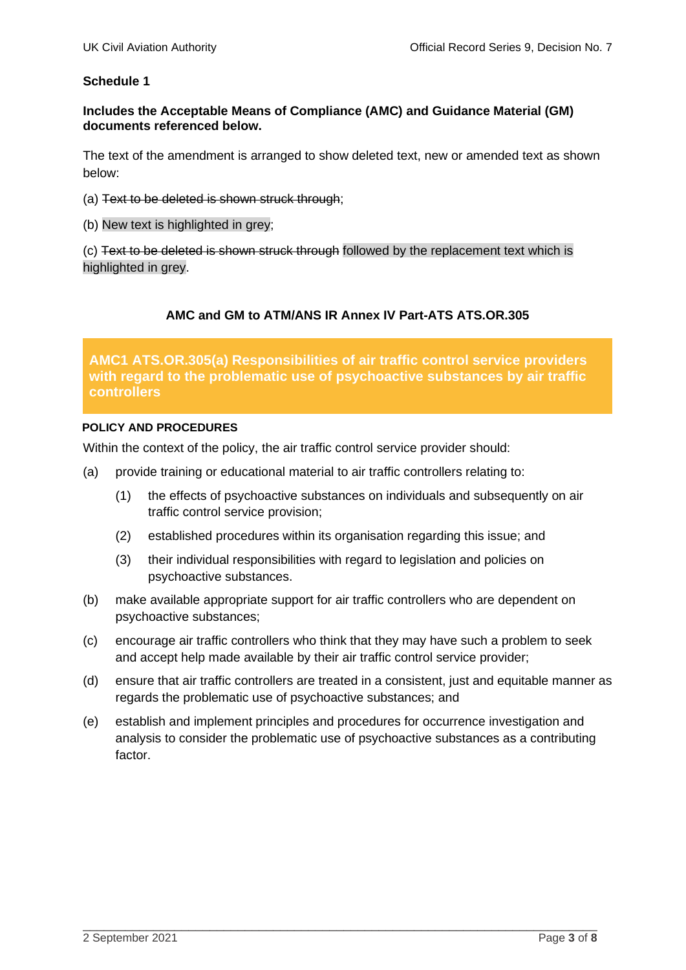## **Schedule 1**

## **Includes the Acceptable Means of Compliance (AMC) and Guidance Material (GM) documents referenced below.**

The text of the amendment is arranged to show deleted text, new or amended text as shown below:

- (a) Text to be deleted is shown struck through;
- (b) New text is highlighted in grey;

(c) Text to be deleted is shown struck through followed by the replacement text which is highlighted in grey.

## **AMC and GM to ATM/ANS IR Annex IV Part-ATS ATS.OR.305**

**AMC1 ATS.OR.305(a) Responsibilities of air traffic control service providers with regard to the problematic use of psychoactive substances by air traffic controllers**

#### **POLICY AND PROCEDURES**

Within the context of the policy, the air traffic control service provider should:

- (a) provide training or educational material to air traffic controllers relating to:
	- (1) the effects of psychoactive substances on individuals and subsequently on air traffic control service provision;
	- (2) established procedures within its organisation regarding this issue; and
	- (3) their individual responsibilities with regard to legislation and policies on psychoactive substances.
- (b) make available appropriate support for air traffic controllers who are dependent on psychoactive substances;
- (c) encourage air traffic controllers who think that they may have such a problem to seek and accept help made available by their air traffic control service provider;
- (d) ensure that air traffic controllers are treated in a consistent, just and equitable manner as regards the problematic use of psychoactive substances; and
- (e) establish and implement principles and procedures for occurrence investigation and analysis to consider the problematic use of psychoactive substances as a contributing factor.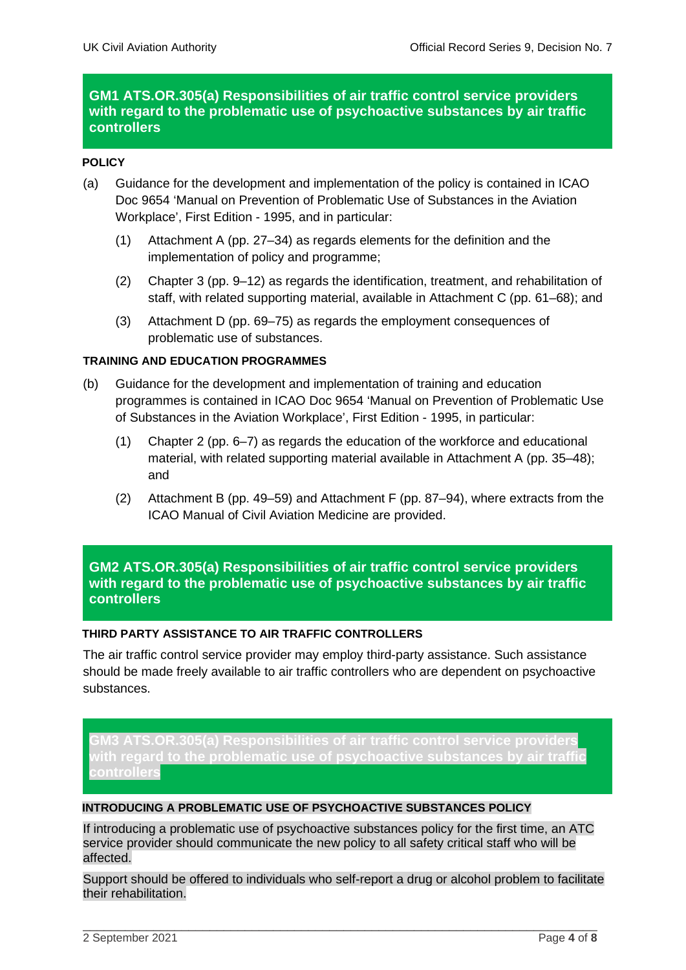# **GM1 ATS.OR.305(a) Responsibilities of air traffic control service providers with regard to the problematic use of psychoactive substances by air traffic controllers**

## **POLICY**

- (a) Guidance for the development and implementation of the policy is contained in ICAO Doc 9654 'Manual on Prevention of Problematic Use of Substances in the Aviation Workplace', First Edition - 1995, and in particular:
	- (1) Attachment A (pp. 27–34) as regards elements for the definition and the implementation of policy and programme;
	- (2) Chapter 3 (pp. 9–12) as regards the identification, treatment, and rehabilitation of staff, with related supporting material, available in Attachment C (pp. 61–68); and
	- (3) Attachment D (pp. 69–75) as regards the employment consequences of problematic use of substances.

#### **TRAINING AND EDUCATION PROGRAMMES**

- (b) Guidance for the development and implementation of training and education programmes is contained in ICAO Doc 9654 'Manual on Prevention of Problematic Use of Substances in the Aviation Workplace', First Edition - 1995, in particular:
	- (1) Chapter 2 (pp. 6–7) as regards the education of the workforce and educational material, with related supporting material available in Attachment A (pp. 35–48); and
	- (2) Attachment B (pp. 49–59) and Attachment F (pp. 87–94), where extracts from the ICAO Manual of Civil Aviation Medicine are provided.

# **GM2 ATS.OR.305(a) Responsibilities of air traffic control service providers with regard to the problematic use of psychoactive substances by air traffic controllers**

#### **THIRD PARTY ASSISTANCE TO AIR TRAFFIC CONTROLLERS**

The air traffic control service provider may employ third-party assistance. Such assistance should be made freely available to air traffic controllers who are dependent on psychoactive substances.

**GM3 ATS.OR.305(a) Responsibilities of air traffic control service providers regard to the problematic use of psychoactive substances controllers**

#### **INTRODUCING A PROBLEMATIC USE OF PSYCHOACTIVE SUBSTANCES POLICY**

If introducing a problematic use of psychoactive substances policy for the first time, an ATC service provider should communicate the new policy to all safety critical staff who will be affected.

Support should be offered to individuals who self-report a drug or alcohol problem to facilitate their rehabilitation.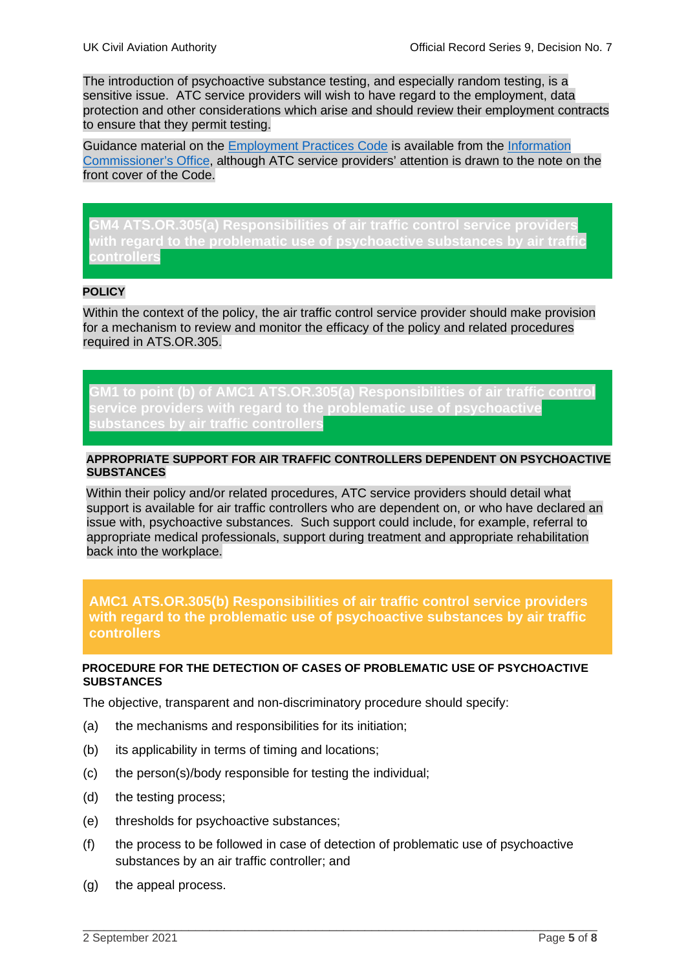The introduction of psychoactive substance testing, and especially random testing, is a sensitive issue. ATC service providers will wish to have regard to the employment, data protection and other considerations which arise and should review their employment contracts to ensure that they permit testing.

Guidance material on the Employment Practices Code is available from the Information Commissioner's Office, although ATC service providers' attention is drawn to the note on the front cover of the Code.

**GM4 ATS.OR.305(a) Responsibilities of air traffic control service providers with regard to the problematic use of psychoactive substances by air traffic controllers**

#### **POLICY**

Within the context of the policy, the air traffic control service provider should make provision for a mechanism to review and monitor the efficacy of the policy and related procedures required in ATS.OR.305.

**GM1 to point (b) of AMC1 ATS.OR.305(a) Responsibilities of air traffic control service providers with regard to the problematic use of psychoactive substances by air traffic controllers**

#### **APPROPRIATE SUPPORT FOR AIR TRAFFIC CONTROLLERS DEPENDENT ON PSYCHOACTIVE SUBSTANCES**

Within their policy and/or related procedures, ATC service providers should detail what support is available for air traffic controllers who are dependent on, or who have declared an issue with, psychoactive substances. Such support could include, for example, referral to appropriate medical professionals, support during treatment and appropriate rehabilitation back into the workplace.

**AMC1 ATS.OR.305(b) Responsibilities of air traffic control service providers with regard to the problematic use of psychoactive substances by air traffic controllers**

#### **PROCEDURE FOR THE DETECTION OF CASES OF PROBLEMATIC USE OF PSYCHOACTIVE SUBSTANCES**

The objective, transparent and non-discriminatory procedure should specify:

- (a) the mechanisms and responsibilities for its initiation;
- (b) its applicability in terms of timing and locations;
- (c) the person(s)/body responsible for testing the individual;
- (d) the testing process;
- (e) thresholds for psychoactive substances;
- (f) the process to be followed in case of detection of problematic use of psychoactive substances by an air traffic controller; and

\_\_\_\_\_\_\_\_\_\_\_\_\_\_\_\_\_\_\_\_\_\_\_\_\_\_\_\_\_\_\_\_\_\_\_\_\_\_\_\_\_\_\_\_\_\_\_\_\_\_\_\_\_\_\_\_\_\_\_\_\_\_\_\_\_\_\_\_\_\_\_\_\_

(g) the appeal process.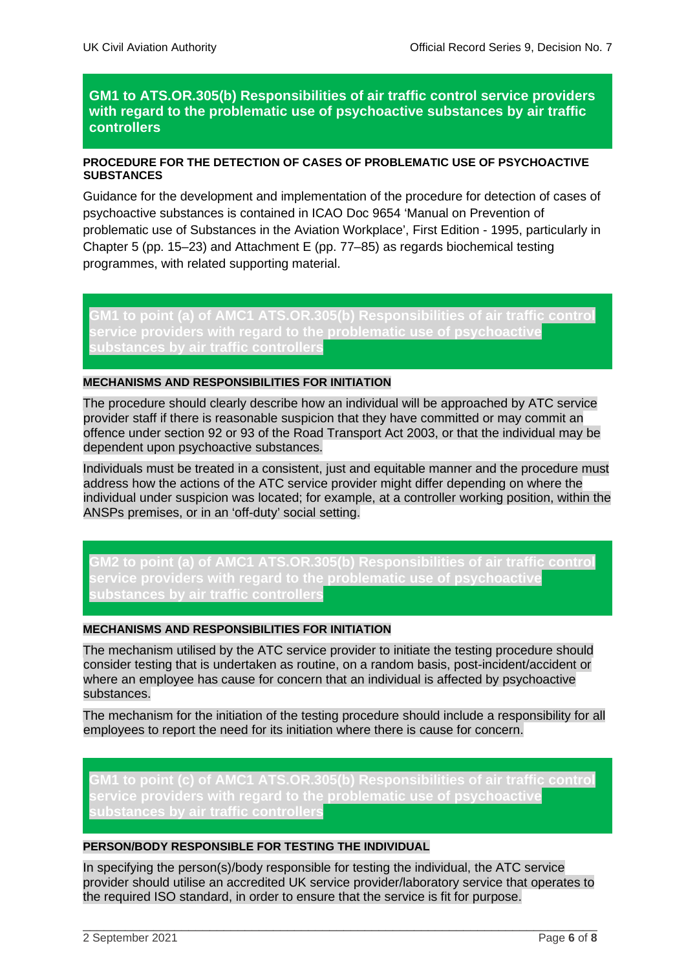# **GM1 to ATS.OR.305(b) Responsibilities of air traffic control service providers with regard to the problematic use of psychoactive substances by air traffic controllers**

## **PROCEDURE FOR THE DETECTION OF CASES OF PROBLEMATIC USE OF PSYCHOACTIVE SUBSTANCES**

Guidance for the development and implementation of the procedure for detection of cases of psychoactive substances is contained in ICAO Doc 9654 'Manual on Prevention of problematic use of Substances in the Aviation Workplace', First Edition - 1995, particularly in Chapter 5 (pp. 15–23) and Attachment E (pp. 77–85) as regards biochemical testing programmes, with related supporting material.

**GM1 to point (a) of AMC1 ATS.OR.305(b) Responsibilities of air traffic control service providers with regard to the problematic use of psychoactive substances by air traffic controllers**

## **MECHANISMS AND RESPONSIBILITIES FOR INITIATION**

The procedure should clearly describe how an individual will be approached by ATC service provider staff if there is reasonable suspicion that they have committed or may commit an offence under section 92 or 93 of the Road Transport Act 2003, or that the individual may be dependent upon psychoactive substances.

Individuals must be treated in a consistent, just and equitable manner and the procedure must address how the actions of the ATC service provider might differ depending on where the individual under suspicion was located; for example, at a controller working position, within the ANSPs premises, or in an 'off-duty' social setting.

**GM2 to point (a) of AMC1 ATS.OR.305(b) Responsibilities of air traffic control service providers with regard to the problematic use of psychoactive** 

## **MECHANISMS AND RESPONSIBILITIES FOR INITIATION**

The mechanism utilised by the ATC service provider to initiate the testing procedure should consider testing that is undertaken as routine, on a random basis, post-incident/accident or where an employee has cause for concern that an individual is affected by psychoactive substances.

The mechanism for the initiation of the testing procedure should include a responsibility for all employees to report the need for its initiation where there is cause for concern.

**GM1 to point (c) of AMC1 ATS.OR.305(b) Responsibilities of air traffic control service providers with regard to the problematic use of psychoactive substances by air traffic controllers**

#### **PERSON/BODY RESPONSIBLE FOR TESTING THE INDIVIDUAL**

In specifying the person(s)/body responsible for testing the individual, the ATC service provider should utilise an accredited UK service provider/laboratory service that operates to the required ISO standard, in order to ensure that the service is fit for purpose.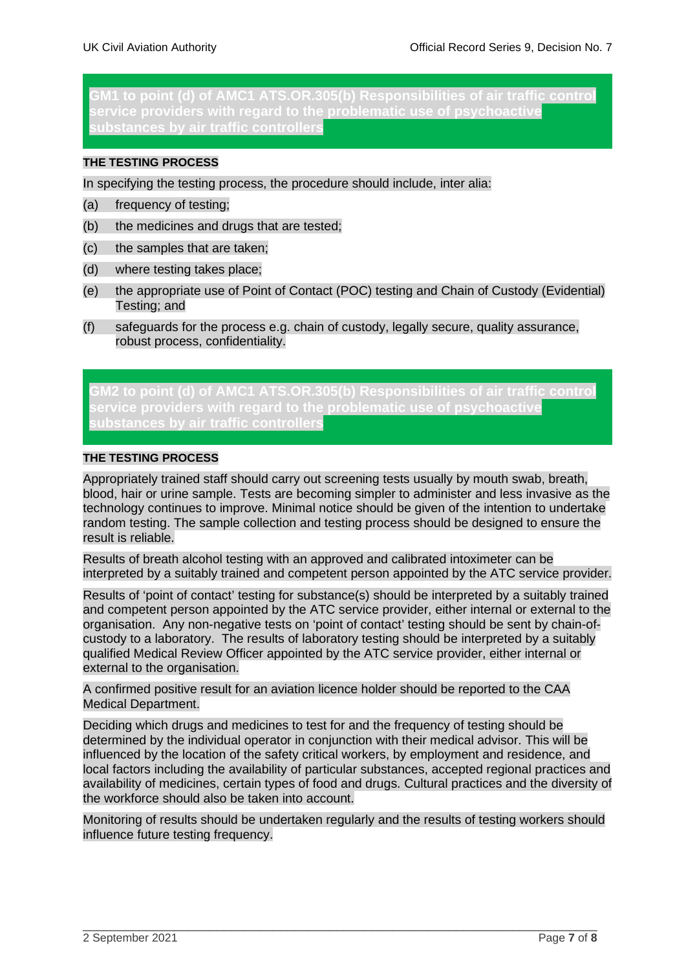**GM1 to point (d) of AMC1 ATS.OR.305(b) Responsibilities of air traffic control service providers with regard to the problematic use of psychoactive substances by air traffic controllers**

## **THE TESTING PROCESS**

In specifying the testing process, the procedure should include, inter alia:

- (a) frequency of testing;
- (b) the medicines and drugs that are tested;
- (c) the samples that are taken;
- (d) where testing takes place;
- (e) the appropriate use of Point of Contact (POC) testing and Chain of Custody (Evidential) Testing; and
- (f) safeguards for the process e.g. chain of custody, legally secure, quality assurance, robust process, confidentiality.

**GM2 to point (d) of AMC1 ATS.OR.305(b) Responsibilities of air traffic control service providers with regard to the problematic use of psychoactive substances by air traffic controllers**

#### **THE TESTING PROCESS**

Appropriately trained staff should carry out screening tests usually by mouth swab, breath, blood, hair or urine sample. Tests are becoming simpler to administer and less invasive as the technology continues to improve. Minimal notice should be given of the intention to undertake random testing. The sample collection and testing process should be designed to ensure the result is reliable.

Results of breath alcohol testing with an approved and calibrated intoximeter can be interpreted by a suitably trained and competent person appointed by the ATC service provider.

Results of 'point of contact' testing for substance(s) should be interpreted by a suitably trained and competent person appointed by the ATC service provider, either internal or external to the organisation. Any non-negative tests on 'point of contact' testing should be sent by chain-ofcustody to a laboratory. The results of laboratory testing should be interpreted by a suitably qualified Medical Review Officer appointed by the ATC service provider, either internal or external to the organisation.

A confirmed positive result for an aviation licence holder should be reported to the CAA Medical Department.

Deciding which drugs and medicines to test for and the frequency of testing should be determined by the individual operator in conjunction with their medical advisor. This will be influenced by the location of the safety critical workers, by employment and residence, and local factors including the availability of particular substances, accepted regional practices and availability of medicines, certain types of food and drugs. Cultural practices and the diversity of the workforce should also be taken into account.

Monitoring of results should be undertaken regularly and the results of testing workers should influence future testing frequency.